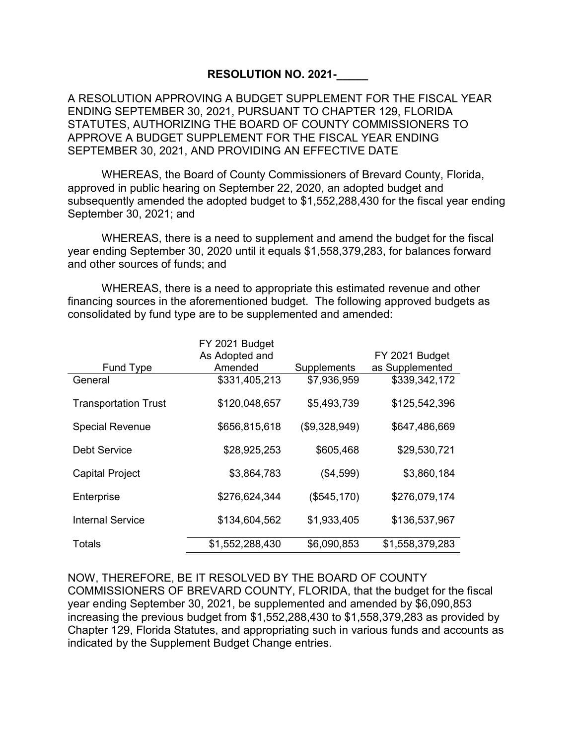## **RESOLUTION NO. 2021-\_\_\_\_\_**

A RESOLUTION APPROVING A BUDGET SUPPLEMENT FOR THE FISCAL YEAR ENDING SEPTEMBER 30, 2021, PURSUANT TO CHAPTER 129, FLORIDA STATUTES, AUTHORIZING THE BOARD OF COUNTY COMMISSIONERS TO APPROVE A BUDGET SUPPLEMENT FOR THE FISCAL YEAR ENDING SEPTEMBER 30, 2021, AND PROVIDING AN EFFECTIVE DATE

WHEREAS, the Board of County Commissioners of Brevard County, Florida, approved in public hearing on September 22, 2020, an adopted budget and subsequently amended the adopted budget to \$1,552,288,430 for the fiscal year ending September 30, 2021; and

WHEREAS, there is a need to supplement and amend the budget for the fiscal year ending September 30, 2020 until it equals \$1,558,379,283, for balances forward and other sources of funds; and

WHEREAS, there is a need to appropriate this estimated revenue and other financing sources in the aforementioned budget. The following approved budgets as consolidated by fund type are to be supplemented and amended:

|                             | FY 2021 Budget  |               |                 |
|-----------------------------|-----------------|---------------|-----------------|
|                             | As Adopted and  |               | FY 2021 Budget  |
| Fund Type                   | Amended         | Supplements   | as Supplemented |
| General                     | \$331,405,213   | \$7,936,959   | \$339,342,172   |
| <b>Transportation Trust</b> | \$120,048,657   | \$5,493,739   | \$125,542,396   |
| <b>Special Revenue</b>      | \$656,815,618   | (\$9,328,949) | \$647,486,669   |
| Debt Service                | \$28,925,253    | \$605,468     | \$29,530,721    |
| <b>Capital Project</b>      | \$3,864,783     | (\$4,599)     | \$3,860,184     |
| Enterprise                  | \$276,624,344   | (\$545, 170)  | \$276,079,174   |
| <b>Internal Service</b>     | \$134,604,562   | \$1,933,405   | \$136,537,967   |
| Totals                      | \$1,552,288,430 | \$6,090,853   | \$1,558,379,283 |

NOW, THEREFORE, BE IT RESOLVED BY THE BOARD OF COUNTY COMMISSIONERS OF BREVARD COUNTY, FLORIDA, that the budget for the fiscal year ending September 30, 2021, be supplemented and amended by \$6,090,853 increasing the previous budget from \$1,552,288,430 to \$1,558,379,283 as provided by Chapter 129, Florida Statutes, and appropriating such in various funds and accounts as indicated by the Supplement Budget Change entries.